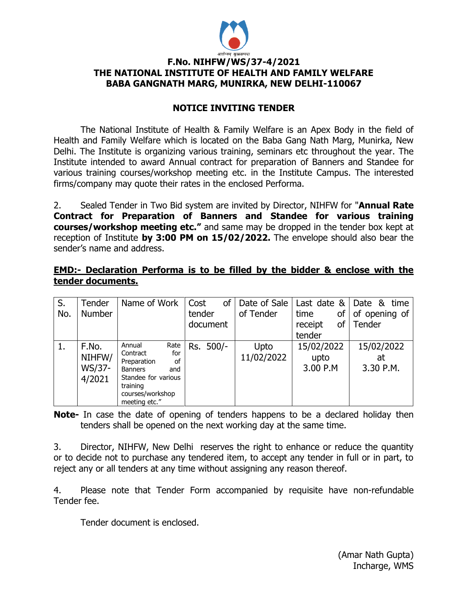

# **F.No. NIHFW/WS/37-4/2021 THE NATIONAL INSTITUTE OF HEALTH AND FAMILY WELFARE BABA GANGNATH MARG, MUNIRKA, NEW DELHI-110067**

# **NOTICE INVITING TENDER**

The National Institute of Health & Family Welfare is an Apex Body in the field of Health and Family Welfare which is located on the Baba Gang Nath Marg, Munirka, New Delhi. The Institute is organizing various training, seminars etc throughout the year. The Institute intended to award Annual contract for preparation of Banners and Standee for various training courses/workshop meeting etc. in the Institute Campus. The interested firms/company may quote their rates in the enclosed Performa.

2. Sealed Tender in Two Bid system are invited by Director, NIHFW for "**Annual Rate Contract for Preparation of Banners and Standee for various training courses/workshop meeting etc."** and same may be dropped in the tender box kept at reception of Institute **by 3:00 PM on 15/02/2022.** The envelope should also bear the sender's name and address.

### **EMD:- Declaration Performa is to be filled by the bidder & enclose with the tender documents.**

| S.<br>No. | Tender<br><b>Number</b>             | Name of Work                                                                                                                                            | <b>of</b><br>Cost<br>tender<br>document | Date of Sale<br>of Tender | Last date &<br>time<br>of<br>of<br>receipt<br>tender | Date & time<br>of opening of<br>Tender |
|-----------|-------------------------------------|---------------------------------------------------------------------------------------------------------------------------------------------------------|-----------------------------------------|---------------------------|------------------------------------------------------|----------------------------------------|
| 1.        | F.No.<br>NIHFW/<br>WS/37-<br>4/2021 | Rate<br>Annual<br>for<br>Contract<br>of<br>Preparation<br><b>Banners</b><br>and<br>Standee for various<br>training<br>courses/workshop<br>meeting etc." | Rs. 500/-                               | Upto<br>11/02/2022        | 15/02/2022<br>upto<br>3.00 P.M                       | 15/02/2022<br>at<br>3.30 P.M.          |

**Note-** In case the date of opening of tenders happens to be a declared holiday then tenders shall be opened on the next working day at the same time.

3. Director, NIHFW, New Delhi reserves the right to enhance or reduce the quantity or to decide not to purchase any tendered item, to accept any tender in full or in part, to reject any or all tenders at any time without assigning any reason thereof.

4. Please note that Tender Form accompanied by requisite have non-refundable Tender fee.

Tender document is enclosed.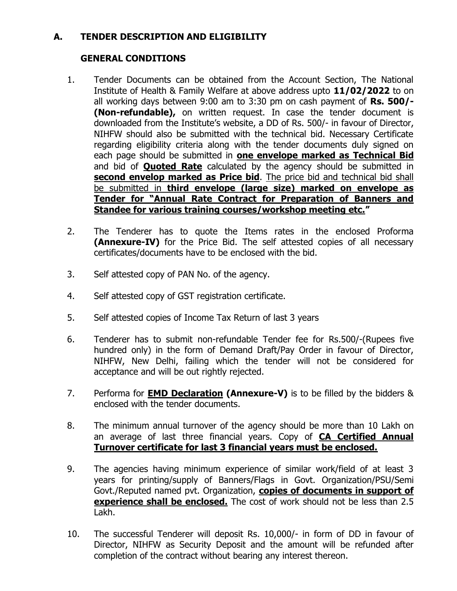# **A. TENDER DESCRIPTION AND ELIGIBILITY**

# **GENERAL CONDITIONS**

- 1. Tender Documents can be obtained from the Account Section, The National Institute of Health & Family Welfare at above address upto **11/02/2022** to on all working days between 9:00 am to 3:30 pm on cash payment of **Rs. 500/- (Non-refundable),** on written request. In case the tender document is downloaded from the Institute's website, a DD of Rs. 500/- in favour of Director, NIHFW should also be submitted with the technical bid. Necessary Certificate regarding eligibility criteria along with the tender documents duly signed on each page should be submitted in **one envelope marked as Technical Bid** and bid of **Quoted Rate** calculated by the agency should be submitted in **second envelop marked as Price bid**. The price bid and technical bid shall be submitted in **third envelope (large size) marked on envelope as Tender for "Annual Rate Contract for Preparation of Banners and Standee for various training courses/workshop meeting etc."**
- 2. The Tenderer has to quote the Items rates in the enclosed Proforma **(Annexure-IV)** for the Price Bid. The self attested copies of all necessary certificates/documents have to be enclosed with the bid.
- 3. Self attested copy of PAN No. of the agency.
- 4. Self attested copy of GST registration certificate.
- 5. Self attested copies of Income Tax Return of last 3 years
- 6. Tenderer has to submit non-refundable Tender fee for Rs.500/-(Rupees five hundred only) in the form of Demand Draft/Pay Order in favour of Director, NIHFW, New Delhi, failing which the tender will not be considered for acceptance and will be out rightly rejected.
- 7. Performa for **EMD Declaration (Annexure-V)** is to be filled by the bidders & enclosed with the tender documents.
- 8. The minimum annual turnover of the agency should be more than 10 Lakh on an average of last three financial years. Copy of **CA Certified Annual Turnover certificate for last 3 financial years must be enclosed.**
- 9. The agencies having minimum experience of similar work/field of at least 3 years for printing/supply of Banners/Flags in Govt. Organization/PSU/Semi Govt./Reputed named pvt. Organization, **copies of documents in support of experience shall be enclosed.** The cost of work should not be less than 2.5 Lakh.
- 10. The successful Tenderer will deposit Rs. 10,000/- in form of DD in favour of Director, NIHFW as Security Deposit and the amount will be refunded after completion of the contract without bearing any interest thereon.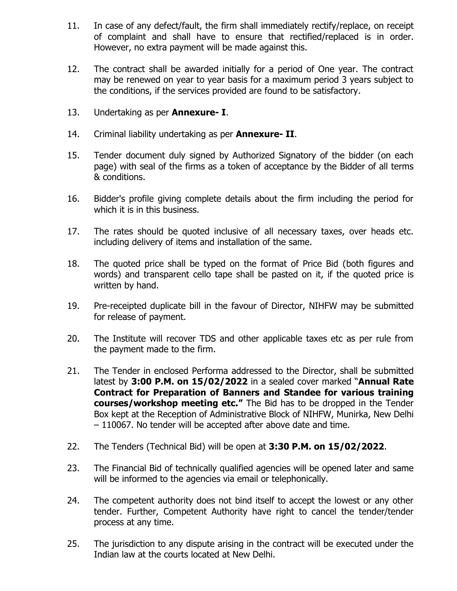- 11. In case of any defect/fault, the firm shall immediately rectify/replace, on receipt of complaint and shall have to ensure that rectified/replaced is in order. However, no extra payment will be made against this.
- 12. The contract shall be awarded initially for a period of One year. The contract may be renewed on year to year basis for a maximum period 3 years subject to the conditions, if the services provided are found to be satisfactory.
- 13. Undertaking as per **Annexure- I**.
- 14. Criminal liability undertaking as per **Annexure- II**.
- 15. Tender document duly signed by Authorized Signatory of the bidder (on each page) with seal of the firms as a token of acceptance by the Bidder of all terms & conditions.
- 16. Bidder's profile giving complete details about the firm including the period for which it is in this business.
- 17. The rates should be quoted inclusive of all necessary taxes, over heads etc. including delivery of items and installation of the same.
- 18. The quoted price shall be typed on the format of Price Bid (both figures and words) and transparent cello tape shall be pasted on it, if the quoted price is written by hand.
- 19. Pre-receipted duplicate bill in the favour of Director, NIHFW may be submitted for release of payment.
- 20. The Institute will recover TDS and other applicable taxes etc as per rule from the payment made to the firm.
- 21. The Tender in enclosed Performa addressed to the Director, shall be submitted latest by **3:00 P.M. on 15/02/2022** in a sealed cover marked "**Annual Rate Contract for Preparation of Banners and Standee for various training courses/workshop meeting etc."** The Bid has to be dropped in the Tender Box kept at the Reception of Administrative Block of NIHFW, Munirka, New Delhi – 110067. No tender will be accepted after above date and time.
- 22. The Tenders (Technical Bid) will be open at **3:30 P.M. on 15/02/2022**.
- 23. The Financial Bid of technically qualified agencies will be opened later and same will be informed to the agencies via email or telephonically.
- 24. The competent authority does not bind itself to accept the lowest or any other tender. Further, Competent Authority have right to cancel the tender/tender process at any time.
- 25. The jurisdiction to any dispute arising in the contract will be executed under the Indian law at the courts located at New Delhi.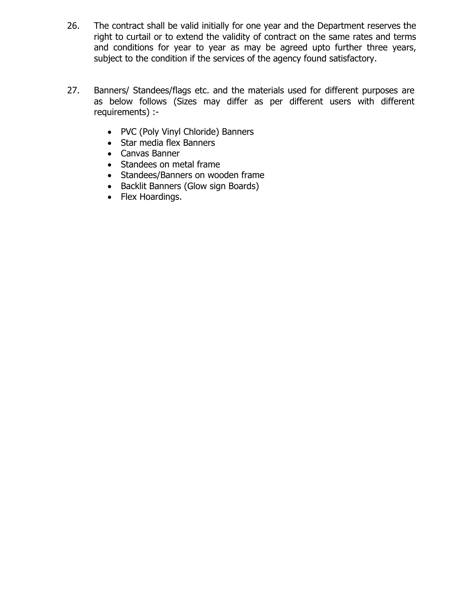- 26. The contract shall be valid initially for one year and the Department reserves the right to curtail or to extend the validity of contract on the same rates and terms and conditions for year to year as may be agreed upto further three years, subject to the condition if the services of the agency found satisfactory.
- 27. Banners/ Standees/flags etc. and the materials used for different purposes are as below follows (Sizes may differ as per different users with different requirements) :-
	- PVC (Poly Vinyl Chloride) Banners
	- Star media flex Banners
	- Canvas Banner
	- Standees on metal frame
	- Standees/Banners on wooden frame
	- Backlit Banners (Glow sign Boards)
	- Flex Hoardings.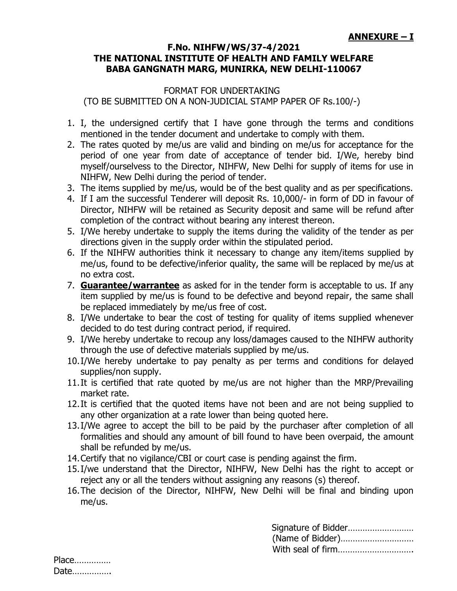# **ANNEXURE – I**

#### **F.No. NIHFW/WS/37-4/2021 THE NATIONAL INSTITUTE OF HEALTH AND FAMILY WELFARE BABA GANGNATH MARG, MUNIRKA, NEW DELHI-110067**

# FORMAT FOR UNDERTAKING (TO BE SUBMITTED ON A NON-JUDICIAL STAMP PAPER OF Rs.100/-)

- 1. I, the undersigned certify that I have gone through the terms and conditions mentioned in the tender document and undertake to comply with them.
- 2. The rates quoted by me/us are valid and binding on me/us for acceptance for the period of one year from date of acceptance of tender bid. I/We, hereby bind myself/ourselvess to the Director, NIHFW, New Delhi for supply of items for use in NIHFW, New Delhi during the period of tender.
- 3. The items supplied by me/us, would be of the best quality and as per specifications.
- 4. If I am the successful Tenderer will deposit Rs. 10,000/- in form of DD in favour of Director, NIHFW will be retained as Security deposit and same will be refund after completion of the contract without bearing any interest thereon.
- 5. I/We hereby undertake to supply the items during the validity of the tender as per directions given in the supply order within the stipulated period.
- 6. If the NIHFW authorities think it necessary to change any item/items supplied by me/us, found to be defective/inferior quality, the same will be replaced by me/us at no extra cost.
- 7. **Guarantee/warrantee** as asked for in the tender form is acceptable to us. If any item supplied by me/us is found to be defective and beyond repair, the same shall be replaced immediately by me/us free of cost.
- 8. I/We undertake to bear the cost of testing for quality of items supplied whenever decided to do test during contract period, if required.
- 9. I/We hereby undertake to recoup any loss/damages caused to the NIHFW authority through the use of defective materials supplied by me/us.
- 10.I/We hereby undertake to pay penalty as per terms and conditions for delayed supplies/non supply.
- 11.It is certified that rate quoted by me/us are not higher than the MRP/Prevailing market rate.
- 12.It is certified that the quoted items have not been and are not being supplied to any other organization at a rate lower than being quoted here.
- 13.I/We agree to accept the bill to be paid by the purchaser after completion of all formalities and should any amount of bill found to have been overpaid, the amount shall be refunded by me/us.
- 14.Certify that no vigilance/CBI or court case is pending against the firm.
- 15.I/we understand that the Director, NIHFW, New Delhi has the right to accept or reject any or all the tenders without assigning any reasons (s) thereof.
- 16.The decision of the Director, NIHFW, New Delhi will be final and binding upon me/us.

Signature of Bidder……………………… (Name of Bidder)………………………… With seal of firm………………………….

| Place |  |
|-------|--|
| Date  |  |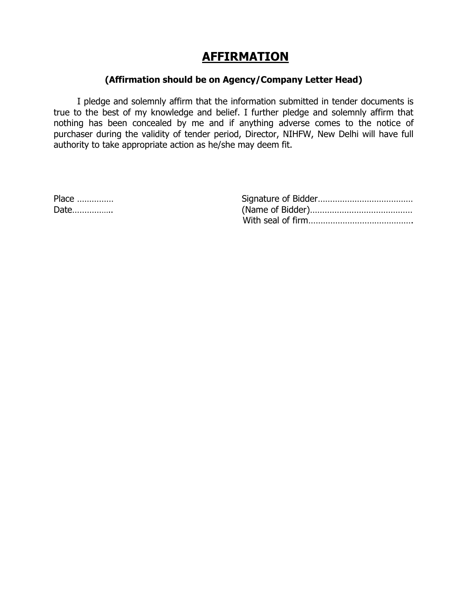# **AFFIRMATION**

### **(Affirmation should be on Agency/Company Letter Head)**

I pledge and solemnly affirm that the information submitted in tender documents is true to the best of my knowledge and belief. I further pledge and solemnly affirm that nothing has been concealed by me and if anything adverse comes to the notice of purchaser during the validity of tender period, Director, NIHFW, New Delhi will have full authority to take appropriate action as he/she may deem fit.

| Place |  |  |  |  |  |
|-------|--|--|--|--|--|
| Date  |  |  |  |  |  |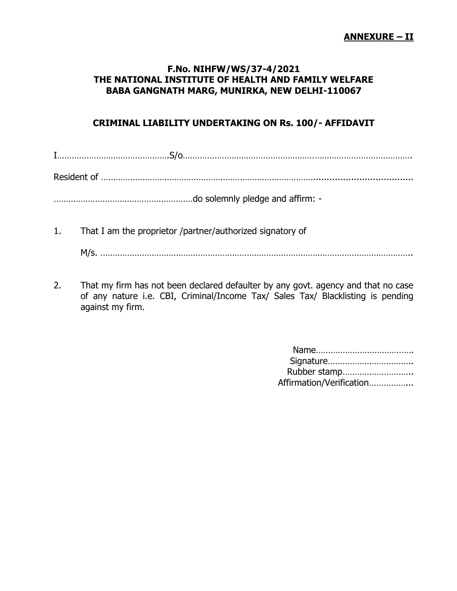#### **ANNEXURE – II**

### **F.No. NIHFW/WS/37-4/2021 THE NATIONAL INSTITUTE OF HEALTH AND FAMILY WELFARE BABA GANGNATH MARG, MUNIRKA, NEW DELHI-110067**

# **CRIMINAL LIABILITY UNDERTAKING ON Rs. 100/- AFFIDAVIT**

| 1. | That I am the proprietor /partner/authorized signatory of |
|----|-----------------------------------------------------------|
|    |                                                           |

2. That my firm has not been declared defaulter by any govt. agency and that no case of any nature i.e. CBI, Criminal/Income Tax/ Sales Tax/ Blacklisting is pending against my firm.

| Rubber stamp             |  |
|--------------------------|--|
| Affirmation/Verification |  |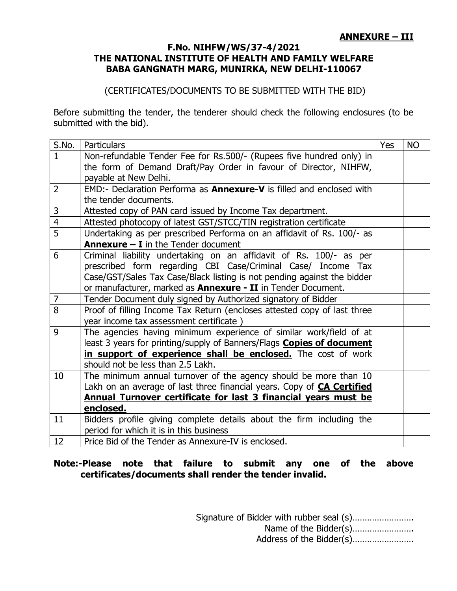# **ANNEXURE – III**

#### **F.No. NIHFW/WS/37-4/2021 THE NATIONAL INSTITUTE OF HEALTH AND FAMILY WELFARE BABA GANGNATH MARG, MUNIRKA, NEW DELHI-110067**

# (CERTIFICATES/DOCUMENTS TO BE SUBMITTED WITH THE BID)

Before submitting the tender, the tenderer should check the following enclosures (to be submitted with the bid).

| S.No.          | <b>Particulars</b>                                                            | Yes | <b>NO</b> |
|----------------|-------------------------------------------------------------------------------|-----|-----------|
| $\mathbf{1}$   | Non-refundable Tender Fee for Rs.500/- (Rupees five hundred only) in          |     |           |
|                | the form of Demand Draft/Pay Order in favour of Director, NIHFW,              |     |           |
|                | payable at New Delhi.                                                         |     |           |
| $\overline{2}$ | EMD:- Declaration Performa as <b>Annexure-V</b> is filled and enclosed with   |     |           |
|                | the tender documents.                                                         |     |           |
| 3              | Attested copy of PAN card issued by Income Tax department.                    |     |           |
| $\overline{4}$ | Attested photocopy of latest GST/STCC/TIN registration certificate            |     |           |
| 5              | Undertaking as per prescribed Performa on an affidavit of Rs. 100/- as        |     |           |
|                | <b>Annexure <math>-</math> I</b> in the Tender document                       |     |           |
| 6              | Criminal liability undertaking on an affidavit of Rs. 100/- as per            |     |           |
|                | prescribed form regarding CBI Case/Criminal Case/ Income Tax                  |     |           |
|                | Case/GST/Sales Tax Case/Black listing is not pending against the bidder       |     |           |
|                | or manufacturer, marked as <b>Annexure - II</b> in Tender Document.           |     |           |
| $\overline{7}$ | Tender Document duly signed by Authorized signatory of Bidder                 |     |           |
| 8              | Proof of filling Income Tax Return (encloses attested copy of last three      |     |           |
|                | year income tax assessment certificate)                                       |     |           |
| 9              | The agencies having minimum experience of similar work/field of at            |     |           |
|                | least 3 years for printing/supply of Banners/Flags <b>Copies of document</b>  |     |           |
|                | in support of experience shall be enclosed. The cost of work                  |     |           |
|                | should not be less than 2.5 Lakh.                                             |     |           |
| 10             | The minimum annual turnover of the agency should be more than 10              |     |           |
|                | Lakh on an average of last three financial years. Copy of <b>CA Certified</b> |     |           |
|                | Annual Turnover certificate for last 3 financial years must be                |     |           |
|                | enclosed.                                                                     |     |           |
| 11             | Bidders profile giving complete details about the firm including the          |     |           |
|                | period for which it is in this business                                       |     |           |
| 12             | Price Bid of the Tender as Annexure-IV is enclosed.                           |     |           |

#### **Note:-Please note that failure to submit any one of the above certificates/documents shall render the tender invalid.**

Signature of Bidder with rubber seal (s)……………………. Name of the Bidder(s)……………………. Address of the Bidder(s)…………………….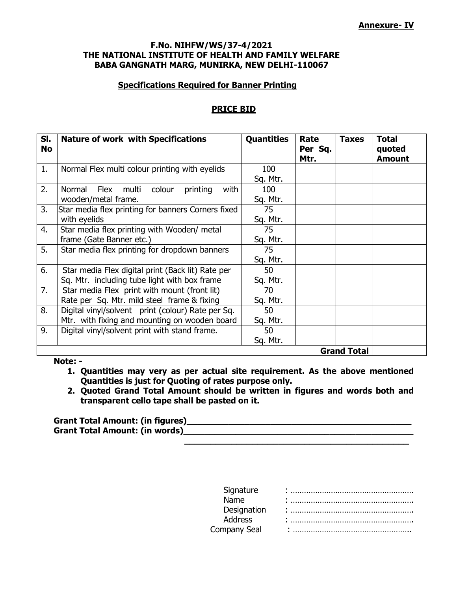#### **Annexure- IV**

#### **F.No. NIHFW/WS/37-4/2021 THE NATIONAL INSTITUTE OF HEALTH AND FAMILY WELFARE BABA GANGNATH MARG, MUNIRKA, NEW DELHI-110067**

#### **Specifications Required for Banner Printing**

#### **PRICE BID**

| SI.<br><b>No</b> | <b>Nature of work with Specifications</b>             | <b>Quantities</b> | Rate<br>Per Sq.<br>Mtr. | <b>Taxes</b>       | <b>Total</b><br>quoted<br><b>Amount</b> |
|------------------|-------------------------------------------------------|-------------------|-------------------------|--------------------|-----------------------------------------|
| 1.               | Normal Flex multi colour printing with eyelids        | 100               |                         |                    |                                         |
| 2.               | multi<br>Normal<br>Flex<br>colour<br>printing<br>with | Sq. Mtr.<br>100   |                         |                    |                                         |
|                  | wooden/metal frame.                                   | Sq. Mtr.          |                         |                    |                                         |
| 3.               | Star media flex printing for banners Corners fixed    | 75                |                         |                    |                                         |
|                  | with eyelids                                          | Sq. Mtr.          |                         |                    |                                         |
| 4.               | Star media flex printing with Wooden/ metal           | 75                |                         |                    |                                         |
|                  | frame (Gate Banner etc.)                              | Sq. Mtr.          |                         |                    |                                         |
| 5.               | Star media flex printing for dropdown banners         | 75                |                         |                    |                                         |
|                  |                                                       | Sq. Mtr.          |                         |                    |                                         |
| 6.               | Star media Flex digital print (Back lit) Rate per     | 50                |                         |                    |                                         |
|                  | Sq. Mtr. including tube light with box frame          | Sq. Mtr.          |                         |                    |                                         |
| 7.               | Star media Flex print with mount (front lit)          | 70                |                         |                    |                                         |
|                  | Rate per Sq. Mtr. mild steel frame & fixing           | Sq. Mtr.          |                         |                    |                                         |
| 8.               | Digital vinyl/solvent print (colour) Rate per Sq.     | 50                |                         |                    |                                         |
|                  | Mtr. with fixing and mounting on wooden board         | Sq. Mtr.          |                         |                    |                                         |
| 9.               | Digital vinyl/solvent print with stand frame.         | 50                |                         |                    |                                         |
|                  |                                                       | Sq. Mtr.          |                         |                    |                                         |
|                  |                                                       |                   |                         | <b>Grand Total</b> |                                         |

#### **Note: -**

**1. Quantities may very as per actual site requirement. As the above mentioned Quantities is just for Quoting of rates purpose only.**

**2. Quoted Grand Total Amount should be written in figures and words both and transparent cello tape shall be pasted on it.**

| <b>Grant Total Amount: (in figures)</b> |  |
|-----------------------------------------|--|
| <b>Grant Total Amount: (in words)</b>   |  |

| Signature    |  |
|--------------|--|
| Name         |  |
| Designation  |  |
| Address      |  |
| Company Seal |  |
|              |  |

**\_\_\_\_\_\_\_\_\_\_\_\_\_\_\_\_\_\_\_\_\_\_\_\_\_\_\_\_\_\_\_\_\_\_\_\_\_\_\_\_\_\_\_**